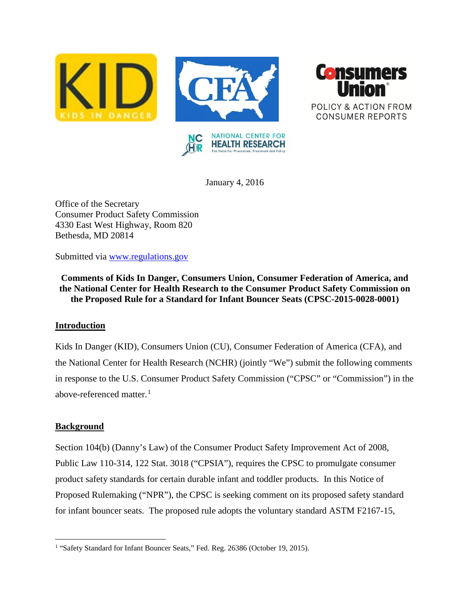



January 4, 2016

Office of the Secretary Consumer Product Safety Commission 4330 East West Highway, Room 820 Bethesda, MD 20814

Submitted via [www.regulations.gov](http://www.regulations.gov/)

**Comments of Kids In Danger, Consumers Union, Consumer Federation of America, and the National Center for Health Research to the Consumer Product Safety Commission on the Proposed Rule for a Standard for Infant Bouncer Seats (CPSC-2015-0028-0001)**

# **Introduction**

Kids In Danger (KID), Consumers Union (CU), Consumer Federation of America (CFA), and the National Center for Health Research (NCHR) (jointly "We") submit the following comments in response to the U.S. Consumer Product Safety Commission ("CPSC" or "Commission") in the above-referenced matter.<sup>[1](#page-0-0)</sup>

# **Background**

Section 104(b) (Danny's Law) of the Consumer Product Safety Improvement Act of 2008, Public Law 110-314, 122 Stat. 3018 ("CPSIA"), requires the CPSC to promulgate consumer product safety standards for certain durable infant and toddler products. In this Notice of Proposed Rulemaking ("NPR"), the CPSC is seeking comment on its proposed safety standard for infant bouncer seats. The proposed rule adopts the voluntary standard ASTM F2167-15,

<span id="page-0-0"></span><sup>&</sup>lt;sup>1</sup> "Safety Standard for Infant Bouncer Seats," Fed. Reg. 26386 (October 19, 2015).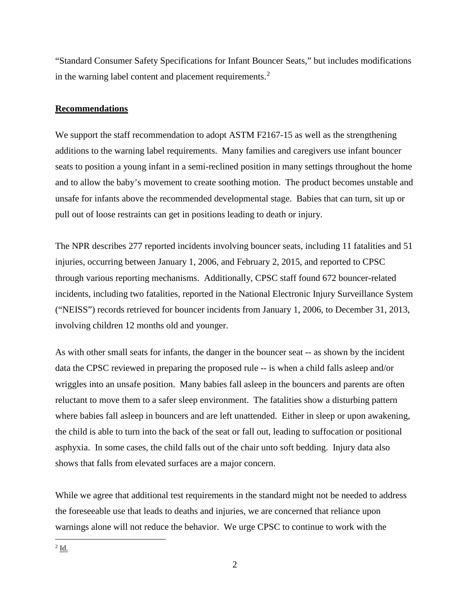"Standard Consumer Safety Specifications for Infant Bouncer Seats," but includes modifications in the warning label content and placement requirements.<sup>[2](#page-1-0)</sup>

## **Recommendations**

We support the staff recommendation to adopt ASTM F2167-15 as well as the strengthening additions to the warning label requirements. Many families and caregivers use infant bouncer seats to position a young infant in a semi-reclined position in many settings throughout the home and to allow the baby's movement to create soothing motion. The product becomes unstable and unsafe for infants above the recommended developmental stage. Babies that can turn, sit up or pull out of loose restraints can get in positions leading to death or injury.

The NPR describes 277 reported incidents involving bouncer seats, including 11 fatalities and 51 injuries, occurring between January 1, 2006, and February 2, 2015, and reported to CPSC through various reporting mechanisms. Additionally, CPSC staff found 672 bouncer-related incidents, including two fatalities, reported in the National Electronic Injury Surveillance System ("NEISS") records retrieved for bouncer incidents from January 1, 2006, to December 31, 2013, involving children 12 months old and younger.

As with other small seats for infants, the danger in the bouncer seat -- as shown by the incident data the CPSC reviewed in preparing the proposed rule -- is when a child falls asleep and/or wriggles into an unsafe position. Many babies fall asleep in the bouncers and parents are often reluctant to move them to a safer sleep environment. The fatalities show a disturbing pattern where babies fall asleep in bouncers and are left unattended. Either in sleep or upon awakening, the child is able to turn into the back of the seat or fall out, leading to suffocation or positional asphyxia. In some cases, the child falls out of the chair unto soft bedding. Injury data also shows that falls from elevated surfaces are a major concern.

<span id="page-1-0"></span>While we agree that additional test requirements in the standard might not be needed to address the foreseeable use that leads to deaths and injuries, we are concerned that reliance upon warnings alone will not reduce the behavior. We urge CPSC to continue to work with the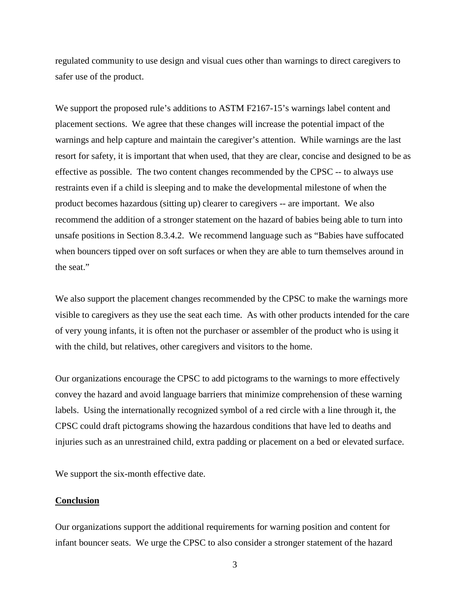regulated community to use design and visual cues other than warnings to direct caregivers to safer use of the product.

We support the proposed rule's additions to ASTM F2167-15's warnings label content and placement sections. We agree that these changes will increase the potential impact of the warnings and help capture and maintain the caregiver's attention. While warnings are the last resort for safety, it is important that when used, that they are clear, concise and designed to be as effective as possible. The two content changes recommended by the CPSC -- to always use restraints even if a child is sleeping and to make the developmental milestone of when the product becomes hazardous (sitting up) clearer to caregivers -- are important. We also recommend the addition of a stronger statement on the hazard of babies being able to turn into unsafe positions in Section 8.3.4.2. We recommend language such as "Babies have suffocated when bouncers tipped over on soft surfaces or when they are able to turn themselves around in the seat."

We also support the placement changes recommended by the CPSC to make the warnings more visible to caregivers as they use the seat each time. As with other products intended for the care of very young infants, it is often not the purchaser or assembler of the product who is using it with the child, but relatives, other caregivers and visitors to the home.

Our organizations encourage the CPSC to add pictograms to the warnings to more effectively convey the hazard and avoid language barriers that minimize comprehension of these warning labels. Using the internationally recognized symbol of a red circle with a line through it, the CPSC could draft pictograms showing the hazardous conditions that have led to deaths and injuries such as an unrestrained child, extra padding or placement on a bed or elevated surface.

We support the six-month effective date.

#### **Conclusion**

Our organizations support the additional requirements for warning position and content for infant bouncer seats. We urge the CPSC to also consider a stronger statement of the hazard

3